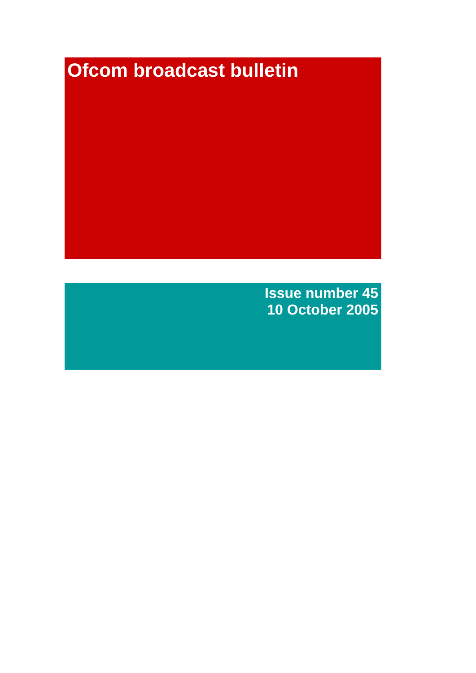# **Ofcom broadcast bulletin**

**Issue number 45 10 October 2005**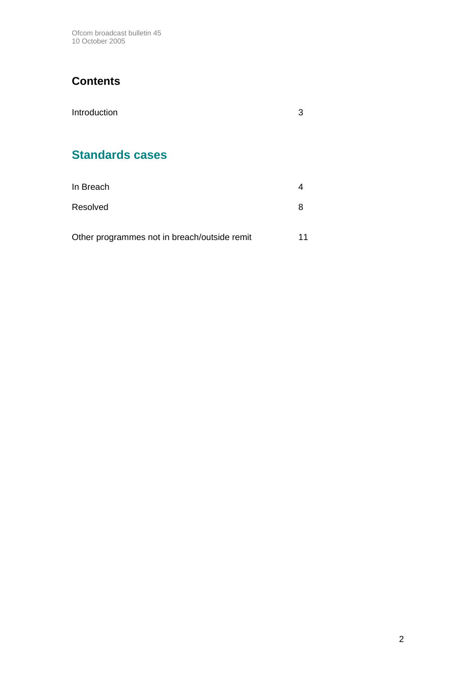Ofcom broadcast bulletin 45 10 October 2005

# **Contents**

| Introduction           | 3 |
|------------------------|---|
|                        |   |
| <b>Standards cases</b> |   |
|                        |   |

| In Breach                                    |    |
|----------------------------------------------|----|
| Resolved                                     |    |
| Other programmes not in breach/outside remit | 11 |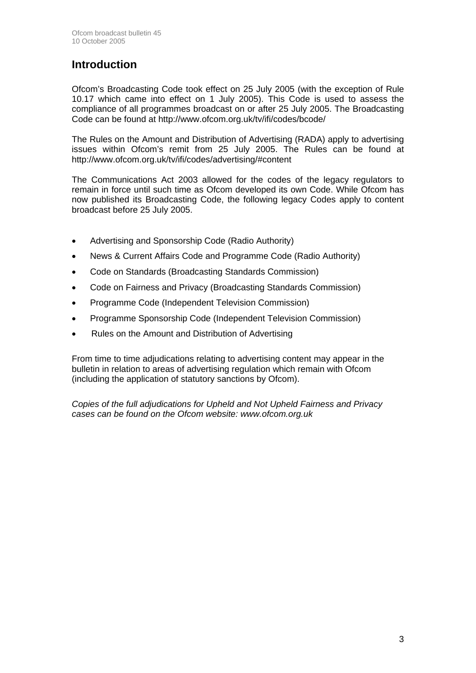# **Introduction**

Ofcom's Broadcasting Code took effect on 25 July 2005 (with the exception of Rule 10.17 which came into effect on 1 July 2005). This Code is used to assess the compliance of all programmes broadcast on or after 25 July 2005. The Broadcasting Code can be found at http://www.ofcom.org.uk/tv/ifi/codes/bcode/

The Rules on the Amount and Distribution of Advertising (RADA) apply to advertising issues within Ofcom's remit from 25 July 2005. The Rules can be found at http://www.ofcom.org.uk/tv/ifi/codes/advertising/#content

The Communications Act 2003 allowed for the codes of the legacy regulators to remain in force until such time as Ofcom developed its own Code. While Ofcom has now published its Broadcasting Code, the following legacy Codes apply to content broadcast before 25 July 2005.

- Advertising and Sponsorship Code (Radio Authority)
- News & Current Affairs Code and Programme Code (Radio Authority)
- Code on Standards (Broadcasting Standards Commission)
- Code on Fairness and Privacy (Broadcasting Standards Commission)
- Programme Code (Independent Television Commission)
- Programme Sponsorship Code (Independent Television Commission)
- Rules on the Amount and Distribution of Advertising

From time to time adjudications relating to advertising content may appear in the bulletin in relation to areas of advertising regulation which remain with Ofcom (including the application of statutory sanctions by Ofcom).

*Copies of the full adjudications for Upheld and Not Upheld Fairness and Privacy cases can be found on the Ofcom website: www.ofcom.org.uk*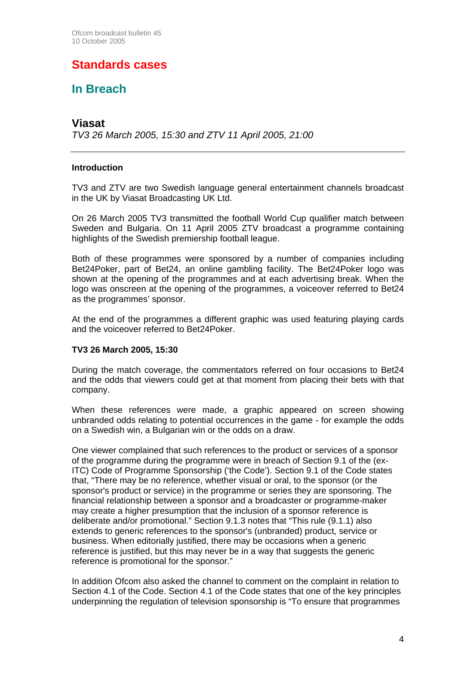# **Standards cases**

# **In Breach**

### **Viasat**

*TV3 26 March 2005, 15:30 and ZTV 11 April 2005, 21:00*

#### **Introduction**

TV3 and ZTV are two Swedish language general entertainment channels broadcast in the UK by Viasat Broadcasting UK Ltd.

On 26 March 2005 TV3 transmitted the football World Cup qualifier match between Sweden and Bulgaria. On 11 April 2005 ZTV broadcast a programme containing highlights of the Swedish premiership football league.

Both of these programmes were sponsored by a number of companies including Bet24Poker, part of Bet24, an online gambling facility. The Bet24Poker logo was shown at the opening of the programmes and at each advertising break. When the logo was onscreen at the opening of the programmes, a voiceover referred to Bet24 as the programmes' sponsor.

At the end of the programmes a different graphic was used featuring playing cards and the voiceover referred to Bet24Poker.

#### **TV3 26 March 2005, 15:30**

During the match coverage, the commentators referred on four occasions to Bet24 and the odds that viewers could get at that moment from placing their bets with that company.

When these references were made, a graphic appeared on screen showing unbranded odds relating to potential occurrences in the game - for example the odds on a Swedish win, a Bulgarian win or the odds on a draw.

One viewer complained that such references to the product or services of a sponsor of the programme during the programme were in breach of Section 9.1 of the (ex-ITC) Code of Programme Sponsorship ('the Code'). Section 9.1 of the Code states that, "There may be no reference, whether visual or oral, to the sponsor (or the sponsor's product or service) in the programme or series they are sponsoring. The financial relationship between a sponsor and a broadcaster or programme-maker may create a higher presumption that the inclusion of a sponsor reference is deliberate and/or promotional." Section 9.1.3 notes that "This rule (9.1.1) also extends to generic references to the sponsor's (unbranded) product, service or business. When editorially justified, there may be occasions when a generic reference is justified, but this may never be in a way that suggests the generic reference is promotional for the sponsor."

In addition Ofcom also asked the channel to comment on the complaint in relation to Section 4.1 of the Code. Section 4.1 of the Code states that one of the key principles underpinning the regulation of television sponsorship is "To ensure that programmes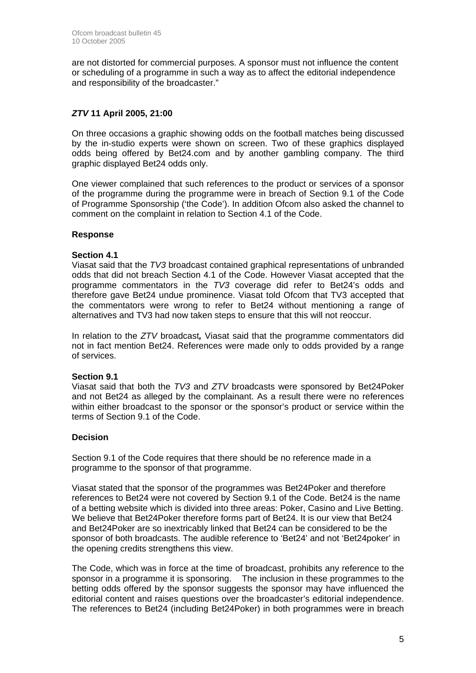are not distorted for commercial purposes. A sponsor must not influence the content or scheduling of a programme in such a way as to affect the editorial independence and responsibility of the broadcaster."

### *ZTV* **11 April 2005, 21:00**

On three occasions a graphic showing odds on the football matches being discussed by the in-studio experts were shown on screen. Two of these graphics displayed odds being offered by Bet24.com and by another gambling company. The third graphic displayed Bet24 odds only.

One viewer complained that such references to the product or services of a sponsor of the programme during the programme were in breach of Section 9.1 of the Code of Programme Sponsorship ('the Code'). In addition Ofcom also asked the channel to comment on the complaint in relation to Section 4.1 of the Code.

#### **Response**

#### **Section 4.1**

Viasat said that the *TV3* broadcast contained graphical representations of unbranded odds that did not breach Section 4.1 of the Code. However Viasat accepted that the programme commentators in the *TV3* coverage did refer to Bet24's odds and therefore gave Bet24 undue prominence. Viasat told Ofcom that TV3 accepted that the commentators were wrong to refer to Bet24 without mentioning a range of alternatives and TV3 had now taken steps to ensure that this will not reoccur.

In relation to the *ZTV* broadcast*,* Viasat said that the programme commentators did not in fact mention Bet24. References were made only to odds provided by a range of services.

#### **Section 9.1**

Viasat said that both the *TV3* and *ZTV* broadcasts were sponsored by Bet24Poker and not Bet24 as alleged by the complainant. As a result there were no references within either broadcast to the sponsor or the sponsor's product or service within the terms of Section 9.1 of the Code.

### **Decision**

Section 9.1 of the Code requires that there should be no reference made in a programme to the sponsor of that programme.

Viasat stated that the sponsor of the programmes was Bet24Poker and therefore references to Bet24 were not covered by Section 9.1 of the Code. Bet24 is the name of a betting website which is divided into three areas: Poker, Casino and Live Betting. We believe that Bet24Poker therefore forms part of Bet24. It is our view that Bet24 and Bet24Poker are so inextricably linked that Bet24 can be considered to be the sponsor of both broadcasts. The audible reference to 'Bet24' and not 'Bet24poker' in the opening credits strengthens this view.

The Code, which was in force at the time of broadcast, prohibits any reference to the sponsor in a programme it is sponsoring. The inclusion in these programmes to the betting odds offered by the sponsor suggests the sponsor may have influenced the editorial content and raises questions over the broadcaster's editorial independence. The references to Bet24 (including Bet24Poker) in both programmes were in breach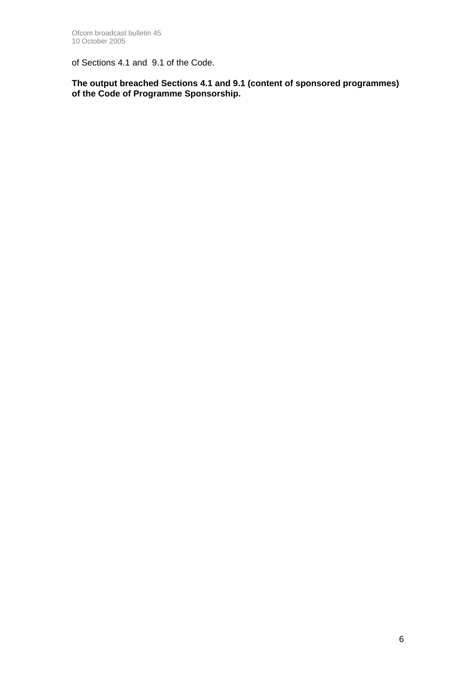of Sections 4.1 and 9.1 of the Code.

**The output breached Sections 4.1 and 9.1 (content of sponsored programmes) of the Code of Programme Sponsorship.**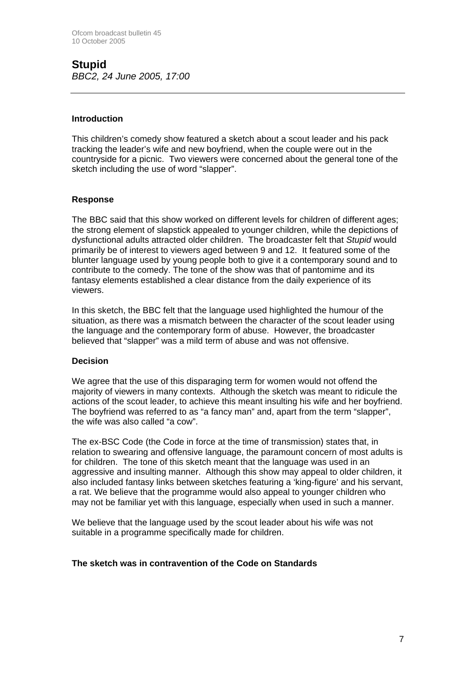### **Stupid**  *BBC2, 24 June 2005, 17:00*

#### **Introduction**

This children's comedy show featured a sketch about a scout leader and his pack tracking the leader's wife and new boyfriend, when the couple were out in the countryside for a picnic. Two viewers were concerned about the general tone of the sketch including the use of word "slapper".

#### **Response**

The BBC said that this show worked on different levels for children of different ages; the strong element of slapstick appealed to younger children, while the depictions of dysfunctional adults attracted older children. The broadcaster felt that *Stupid* would primarily be of interest to viewers aged between 9 and 12. It featured some of the blunter language used by young people both to give it a contemporary sound and to contribute to the comedy. The tone of the show was that of pantomime and its fantasy elements established a clear distance from the daily experience of its viewers.

In this sketch, the BBC felt that the language used highlighted the humour of the situation, as there was a mismatch between the character of the scout leader using the language and the contemporary form of abuse. However, the broadcaster believed that "slapper" was a mild term of abuse and was not offensive.

#### **Decision**

We agree that the use of this disparaging term for women would not offend the majority of viewers in many contexts. Although the sketch was meant to ridicule the actions of the scout leader, to achieve this meant insulting his wife and her boyfriend. The boyfriend was referred to as "a fancy man" and, apart from the term "slapper", the wife was also called "a cow".

The ex-BSC Code (the Code in force at the time of transmission) states that, in relation to swearing and offensive language, the paramount concern of most adults is for children. The tone of this sketch meant that the language was used in an aggressive and insulting manner. Although this show may appeal to older children, it also included fantasy links between sketches featuring a 'king-figure' and his servant, a rat. We believe that the programme would also appeal to younger children who may not be familiar yet with this language, especially when used in such a manner.

We believe that the language used by the scout leader about his wife was not suitable in a programme specifically made for children.

#### **The sketch was in contravention of the Code on Standards**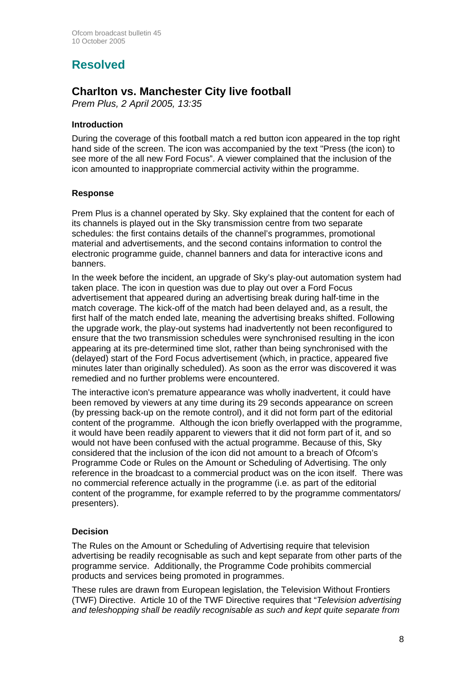# **Resolved**

# **Charlton vs. Manchester City live football**

*Prem Plus, 2 April 2005, 13:35*

### **Introduction**

During the coverage of this football match a red button icon appeared in the top right hand side of the screen. The icon was accompanied by the text "Press (the icon) to see more of the all new Ford Focus". A viewer complained that the inclusion of the icon amounted to inappropriate commercial activity within the programme.

#### **Response**

Prem Plus is a channel operated by Sky. Sky explained that the content for each of its channels is played out in the Sky transmission centre from two separate schedules: the first contains details of the channel's programmes, promotional material and advertisements, and the second contains information to control the electronic programme guide, channel banners and data for interactive icons and banners.

In the week before the incident, an upgrade of Sky's play-out automation system had taken place. The icon in question was due to play out over a Ford Focus advertisement that appeared during an advertising break during half-time in the match coverage. The kick-off of the match had been delayed and, as a result, the first half of the match ended late, meaning the advertising breaks shifted. Following the upgrade work, the play-out systems had inadvertently not been reconfigured to ensure that the two transmission schedules were synchronised resulting in the icon appearing at its pre-determined time slot, rather than being synchronised with the (delayed) start of the Ford Focus advertisement (which, in practice, appeared five minutes later than originally scheduled). As soon as the error was discovered it was remedied and no further problems were encountered.

The interactive icon's premature appearance was wholly inadvertent, it could have been removed by viewers at any time during its 29 seconds appearance on screen (by pressing back-up on the remote control), and it did not form part of the editorial content of the programme. Although the icon briefly overlapped with the programme, it would have been readily apparent to viewers that it did not form part of it, and so would not have been confused with the actual programme. Because of this, Sky considered that the inclusion of the icon did not amount to a breach of Ofcom's Programme Code or Rules on the Amount or Scheduling of Advertising. The only reference in the broadcast to a commercial product was on the icon itself. There was no commercial reference actually in the programme (i.e. as part of the editorial content of the programme, for example referred to by the programme commentators/ presenters).

### **Decision**

The Rules on the Amount or Scheduling of Advertising require that television advertising be readily recognisable as such and kept separate from other parts of the programme service. Additionally, the Programme Code prohibits commercial products and services being promoted in programmes.

These rules are drawn from European legislation, the Television Without Frontiers (TWF) Directive. Article 10 of the TWF Directive requires that "*Television advertising and teleshopping shall be readily recognisable as such and kept quite separate from*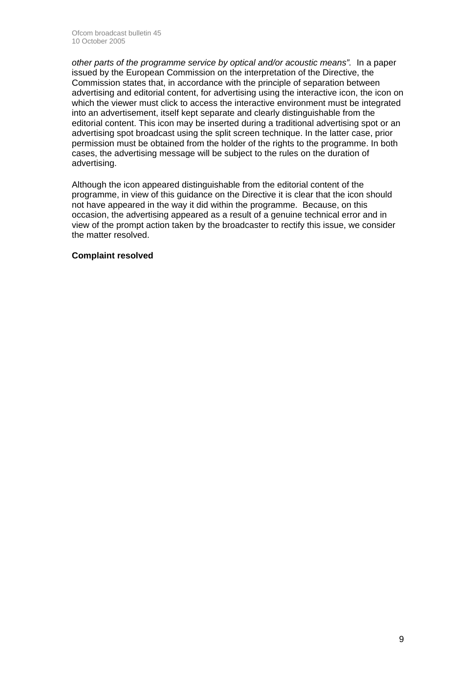*other parts of the programme service by optical and/or acoustic means".* In a paper issued by the European Commission on the interpretation of the Directive, the Commission states that, in accordance with the principle of separation between advertising and editorial content, for advertising using the interactive icon, the icon on which the viewer must click to access the interactive environment must be integrated into an advertisement, itself kept separate and clearly distinguishable from the editorial content. This icon may be inserted during a traditional advertising spot or an advertising spot broadcast using the split screen technique. In the latter case, prior permission must be obtained from the holder of the rights to the programme. In both cases, the advertising message will be subject to the rules on the duration of advertising.

Although the icon appeared distinguishable from the editorial content of the programme, in view of this guidance on the Directive it is clear that the icon should not have appeared in the way it did within the programme. Because, on this occasion, the advertising appeared as a result of a genuine technical error and in view of the prompt action taken by the broadcaster to rectify this issue, we consider the matter resolved.

#### **Complaint resolved**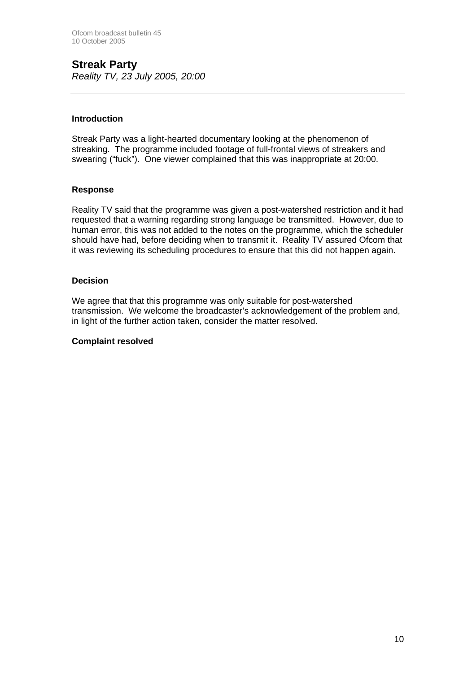### **Streak Party**  *Reality TV, 23 July 2005, 20:00*

#### **Introduction**

Streak Party was a light-hearted documentary looking at the phenomenon of streaking. The programme included footage of full-frontal views of streakers and swearing ("fuck"). One viewer complained that this was inappropriate at 20:00.

#### **Response**

Reality TV said that the programme was given a post-watershed restriction and it had requested that a warning regarding strong language be transmitted. However, due to human error, this was not added to the notes on the programme, which the scheduler should have had, before deciding when to transmit it. Reality TV assured Ofcom that it was reviewing its scheduling procedures to ensure that this did not happen again.

#### **Decision**

We agree that that this programme was only suitable for post-watershed transmission. We welcome the broadcaster's acknowledgement of the problem and, in light of the further action taken, consider the matter resolved.

#### **Complaint resolved**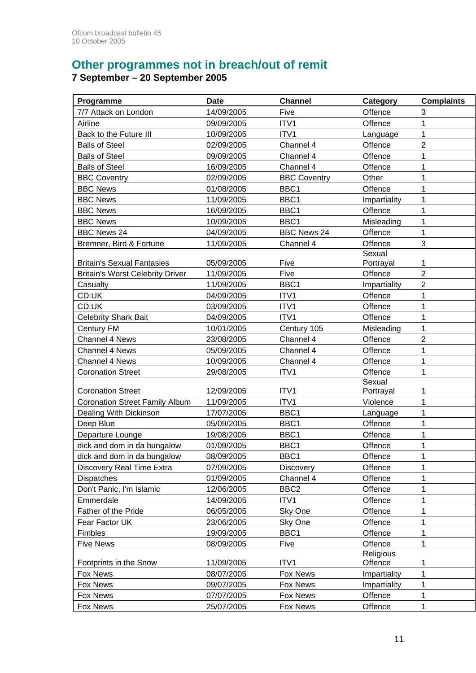# **Other programmes not in breach/out of remit**

#### **7 September – 20 September 2005**

| Programme                               | <b>Date</b> | <b>Channel</b>      | Category             | <b>Complaints</b> |
|-----------------------------------------|-------------|---------------------|----------------------|-------------------|
| 7/7 Attack on London                    | 14/09/2005  | Five                | Offence              | 3                 |
| Airline                                 | 09/09/2005  | ITV1                | Offence              | 1                 |
| Back to the Future III                  | 10/09/2005  | ITV1                | Language             | 1                 |
| <b>Balls of Steel</b>                   | 02/09/2005  | Channel 4           | Offence              | $\overline{2}$    |
| <b>Balls of Steel</b>                   | 09/09/2005  | Channel 4           | Offence              | 1                 |
| <b>Balls of Steel</b>                   | 16/09/2005  | Channel 4           | Offence              | 1                 |
| <b>BBC Coventry</b>                     | 02/09/2005  | <b>BBC Coventry</b> | Other                | 1                 |
| <b>BBC News</b>                         | 01/08/2005  | BBC1                | Offence              | 1                 |
| <b>BBC News</b>                         | 11/09/2005  | BBC1                | Impartiality         | 1                 |
| <b>BBC News</b>                         | 16/09/2005  | BBC1                | Offence              | 1                 |
| <b>BBC News</b>                         | 10/09/2005  | BBC1                | Misleading           | 1                 |
| <b>BBC News 24</b>                      | 04/09/2005  | <b>BBC News 24</b>  | Offence              | 1                 |
| Bremner, Bird & Fortune                 | 11/09/2005  | Channel 4           | Offence              | 3                 |
|                                         |             |                     | Sexual               |                   |
| <b>Britain's Sexual Fantasies</b>       | 05/09/2005  | Five                | Portrayal            | 1                 |
| <b>Britain's Worst Celebrity Driver</b> | 11/09/2005  | Five                | Offence              | $\overline{2}$    |
| Casualty                                | 11/09/2005  | BBC1                | Impartiality         | $\overline{c}$    |
| CD:UK                                   | 04/09/2005  | ITV1                | Offence              | 1                 |
| CD:UK                                   | 03/09/2005  | ITV1                | Offence              | 1                 |
| <b>Celebrity Shark Bait</b>             | 04/09/2005  | ITV1                | Offence              | 1                 |
| Century FM                              | 10/01/2005  | Century 105         | Misleading           | $\mathbf{1}$      |
| <b>Channel 4 News</b>                   | 23/08/2005  | Channel 4           | Offence              | 2                 |
| <b>Channel 4 News</b>                   | 05/09/2005  | Channel 4           | Offence              | 1                 |
| Channel 4 News                          | 10/09/2005  | Channel 4           | Offence              | 1                 |
| <b>Coronation Street</b>                | 29/08/2005  | ITV1                | Offence              | 1                 |
|                                         |             |                     | Sexual               |                   |
| <b>Coronation Street</b>                | 12/09/2005  | ITV1                | Portrayal            | 1                 |
| <b>Coronation Street Family Album</b>   | 11/09/2005  | ITV1                | Violence             | 1                 |
| Dealing With Dickinson                  | 17/07/2005  | BBC1                | Language             | 1                 |
| Deep Blue                               | 05/09/2005  | BBC1                | Offence              | 1                 |
| Departure Lounge                        | 19/08/2005  | BBC1                | Offence              | 1                 |
| dick and dom in da bungalow             | 01/09/2005  | BBC1                | Offence              | 1                 |
| dick and dom in da bungalow             | 08/09/2005  | BBC1                | Offence              | 1                 |
| Discovery Real Time Extra               | 07/09/2005  | Discovery           | Offence              | 1                 |
| <b>Dispatches</b>                       | 01/09/2005  | Channel 4           | Offence              | 1                 |
| Don't Panic, I'm Islamic                | 12/06/2005  | BBC <sub>2</sub>    | Offence              | 1                 |
| Emmerdale                               | 14/09/2005  | ITV1                | Offence              | 1                 |
| Father of the Pride                     | 06/05/2005  | Sky One             | Offence              | 1                 |
| Fear Factor UK                          | 23/06/2005  | Sky One             | Offence              | 1                 |
| Fimbles                                 | 19/09/2005  | BBC1                | Offence              | 1                 |
| <b>Five News</b>                        | 08/09/2005  | Five                | Offence              | 1                 |
| Footprints in the Snow                  | 11/09/2005  | ITV1                | Religious<br>Offence | 1                 |
| Fox News                                | 08/07/2005  | Fox News            | Impartiality         | 1                 |
| Fox News                                | 09/07/2005  | Fox News            | Impartiality         | 1                 |
| Fox News                                | 07/07/2005  | Fox News            | Offence              | 1                 |
| Fox News                                | 25/07/2005  | Fox News            | Offence              | 1                 |
|                                         |             |                     |                      |                   |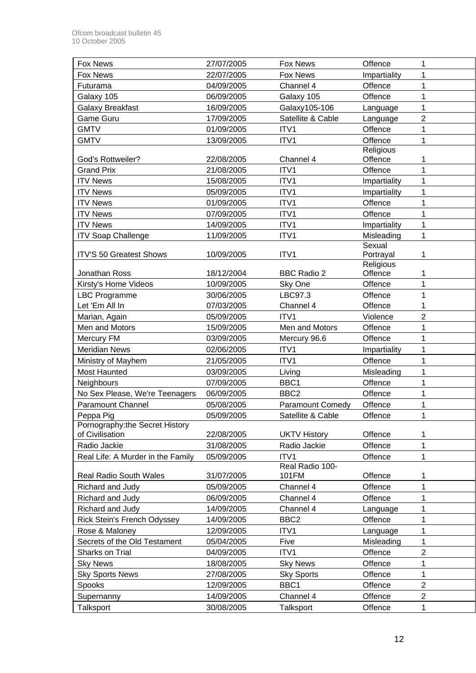| <b>Fox News</b>                   | 27/07/2005 | Fox News                | Offence      | 1              |
|-----------------------------------|------------|-------------------------|--------------|----------------|
| Fox News                          | 22/07/2005 | <b>Fox News</b>         | Impartiality | 1              |
| Futurama                          | 04/09/2005 | Channel 4               | Offence      | 1              |
| Galaxy 105                        | 06/09/2005 | Galaxy 105              | Offence      | 1              |
| Galaxy Breakfast                  | 16/09/2005 | Galaxy105-106           | Language     | 1              |
| <b>Game Guru</b>                  | 17/09/2005 | Satellite & Cable       | Language     | $\overline{2}$ |
| <b>GMTV</b>                       | 01/09/2005 | ITV1                    | Offence      | 1              |
| <b>GMTV</b>                       | 13/09/2005 | ITV1                    | Offence      | 1              |
|                                   |            |                         | Religious    |                |
| <b>God's Rottweiler?</b>          | 22/08/2005 | Channel 4               | Offence      | 1              |
| <b>Grand Prix</b>                 | 21/08/2005 | ITV1                    | Offence      | 1              |
| <b>ITV News</b>                   | 15/08/2005 | ITV1                    | Impartiality | 1              |
| <b>ITV News</b>                   | 05/09/2005 | ITV1                    | Impartiality | 1              |
| <b>ITV News</b>                   | 01/09/2005 | ITV1                    | Offence      | 1              |
| <b>ITV News</b>                   | 07/09/2005 | ITV1                    | Offence      | 1              |
| <b>ITV News</b>                   | 14/09/2005 | ITV1                    | Impartiality | 1              |
| <b>ITV Soap Challenge</b>         | 11/09/2005 | ITV1                    | Misleading   | 1              |
|                                   |            |                         | Sexual       |                |
| <b>ITV'S 50 Greatest Shows</b>    | 10/09/2005 | ITV1                    | Portrayal    | 1              |
|                                   |            |                         | Religious    |                |
| Jonathan Ross                     | 18/12/2004 | <b>BBC Radio 2</b>      | Offence      | 1              |
| Kirsty's Home Videos              | 10/09/2005 | Sky One                 | Offence      | 1              |
| <b>LBC Programme</b>              | 30/06/2005 | LBC97.3                 | Offence      | 1              |
| Let 'Em All In                    | 07/03/2005 | Channel 4               | Offence      | 1              |
| Marian, Again                     | 05/09/2005 | ITV1                    | Violence     | $\overline{2}$ |
| Men and Motors                    | 15/09/2005 | Men and Motors          | Offence      | 1              |
| Mercury FM                        | 03/09/2005 | Mercury 96.6            | Offence      | 1              |
| <b>Meridian News</b>              | 02/06/2005 | ITV1                    | Impartiality | 1              |
| Ministry of Mayhem                | 21/05/2005 | ITV1                    | Offence      | 1              |
| <b>Most Haunted</b>               | 03/09/2005 | Living                  | Misleading   | 1              |
| Neighbours                        | 07/09/2005 | BBC1                    | Offence      | 1              |
| No Sex Please, We're Teenagers    | 06/09/2005 | BBC <sub>2</sub>        | Offence      | 1              |
| <b>Paramount Channel</b>          | 05/08/2005 | <b>Paramount Comedy</b> | Offence      | 1              |
| Peppa Pig                         | 05/09/2005 | Satellite & Cable       | Offence      | 1              |
| Pornography:the Secret History    |            |                         |              |                |
| of Civilisation                   | 22/08/2005 | <b>UKTV History</b>     | Offence      | 1              |
| Radio Jackie                      | 31/08/2005 | Radio Jackie            | Offence      | 1              |
| Real Life: A Murder in the Family | 05/09/2005 | ITV1<br>Real Radio 100- | Offence      | 1              |
| Real Radio South Wales            | 31/07/2005 | 101FM                   | Offence      | 1              |
| Richard and Judy                  | 05/09/2005 | Channel 4               | Offence      | 1              |
| Richard and Judy                  | 06/09/2005 | Channel 4               | Offence      | 1              |
| Richard and Judy                  | 14/09/2005 | Channel 4               | Language     | 1              |
| Rick Stein's French Odyssey       | 14/09/2005 | BBC <sub>2</sub>        | Offence      | 1              |
| Rose & Maloney                    | 12/09/2005 | ITV1                    | Language     | 1              |
| Secrets of the Old Testament      | 05/04/2005 | Five                    | Misleading   | 1              |
| Sharks on Trial                   | 04/09/2005 | ITV1                    | Offence      | $\overline{c}$ |
| <b>Sky News</b>                   | 18/08/2005 | <b>Sky News</b>         | Offence      | 1              |
| <b>Sky Sports News</b>            | 27/08/2005 | <b>Sky Sports</b>       | Offence      | $\mathbf 1$    |
| Spooks                            | 12/09/2005 | BBC1                    | Offence      | $\overline{2}$ |
| Supernanny                        | 14/09/2005 | Channel 4               | Offence      | $\overline{2}$ |
| Talksport                         | 30/08/2005 | Talksport               | Offence      | 1              |
|                                   |            |                         |              |                |